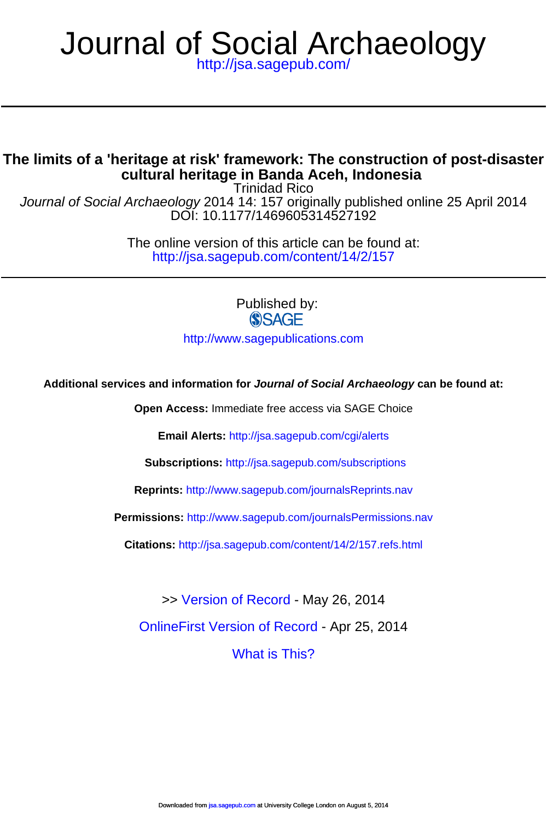# <http://jsa.sagepub.com/> Journal of Social Archaeology

## **cultural heritage in Banda Aceh, Indonesia The limits of a 'heritage at risk' framework: The construction of post-disaster**

DOI: 10.1177/1469605314527192 Journal of Social Archaeology 2014 14: 157 originally published online 25 April 2014 Trinidad Rico

> <http://jsa.sagepub.com/content/14/2/157> The online version of this article can be found at:

> > Published by: **SSAGE**

<http://www.sagepublications.com>

**Additional services and information for Journal of Social Archaeology can be found at:**

**Open Access:** Immediate free access via SAGE Choice

**Email Alerts:** <http://jsa.sagepub.com/cgi/alerts>

**Subscriptions:** <http://jsa.sagepub.com/subscriptions>

**Reprints:** <http://www.sagepub.com/journalsReprints.nav>

**Permissions:** <http://www.sagepub.com/journalsPermissions.nav>

**Citations:** <http://jsa.sagepub.com/content/14/2/157.refs.html>

[What is This?](http://online.sagepub.com/site/sphelp/vorhelp.xhtml) [OnlineFirst Version of Record -](http://jsa.sagepub.com/content/early/2014/04/16/1469605314527192.full.pdf) Apr 25, 2014 >> [Version of Record -](http://jsa.sagepub.com/content/14/2/157.full.pdf) May 26, 2014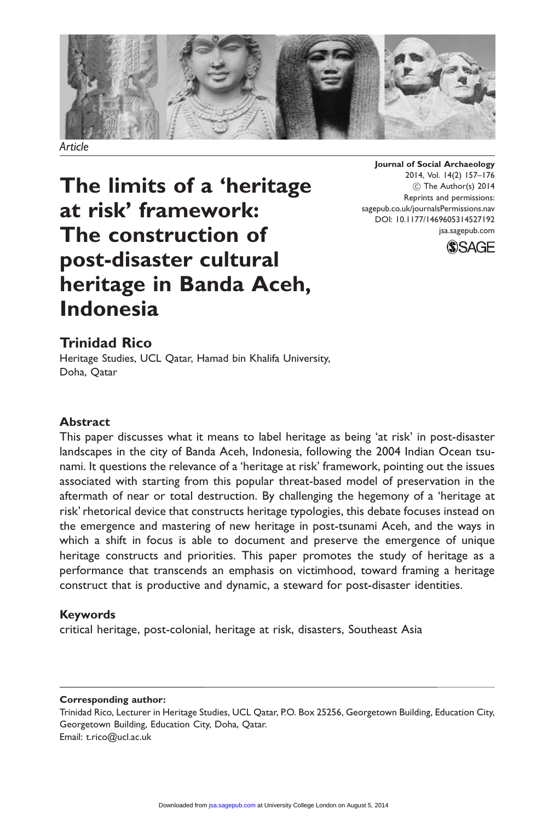

Article

The limits of a 'heritage at risk' framework: The construction of post-disaster cultural heritage in Banda Aceh, Indonesia

Journal of Social Archaeology 2014, Vol. 14(2) 157–176 (C) The Author(s) 2014 Reprints and permissions: sagepub.co.uk/journalsPermissions.nav DOI: 10.1177/1469605314527192 jsa.sagepub.com



## Trinidad Rico

Heritage Studies, UCL Qatar, Hamad bin Khalifa University, Doha, Qatar

#### Abstract

This paper discusses what it means to label heritage as being 'at risk' in post-disaster landscapes in the city of Banda Aceh, Indonesia, following the 2004 Indian Ocean tsunami. It questions the relevance of a 'heritage at risk' framework, pointing out the issues associated with starting from this popular threat-based model of preservation in the aftermath of near or total destruction. By challenging the hegemony of a 'heritage at risk' rhetorical device that constructs heritage typologies, this debate focuses instead on the emergence and mastering of new heritage in post-tsunami Aceh, and the ways in which a shift in focus is able to document and preserve the emergence of unique heritage constructs and priorities. This paper promotes the study of heritage as a performance that transcends an emphasis on victimhood, toward framing a heritage construct that is productive and dynamic, a steward for post-disaster identities.

#### Keywords

critical heritage, post-colonial, heritage at risk, disasters, Southeast Asia

Corresponding author:

Trinidad Rico, Lecturer in Heritage Studies, UCL Qatar, P.O. Box 25256, Georgetown Building, Education City, Georgetown Building, Education City, Doha, Qatar. Email: t.rico@ucl.ac.uk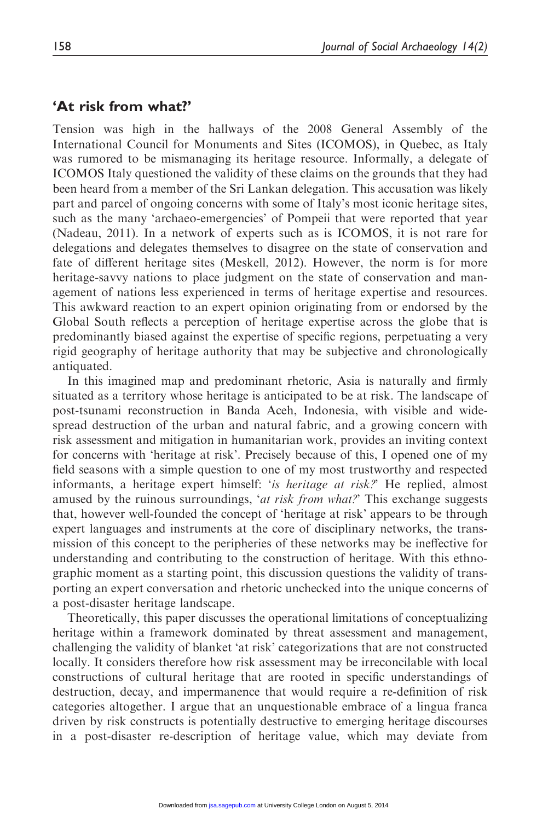### 'At risk from what?'

Tension was high in the hallways of the 2008 General Assembly of the International Council for Monuments and Sites (ICOMOS), in Quebec, as Italy was rumored to be mismanaging its heritage resource. Informally, a delegate of ICOMOS Italy questioned the validity of these claims on the grounds that they had been heard from a member of the Sri Lankan delegation. This accusation was likely part and parcel of ongoing concerns with some of Italy's most iconic heritage sites, such as the many 'archaeo-emergencies' of Pompeii that were reported that year (Nadeau, 2011). In a network of experts such as is ICOMOS, it is not rare for delegations and delegates themselves to disagree on the state of conservation and fate of different heritage sites (Meskell, 2012). However, the norm is for more heritage-savvy nations to place judgment on the state of conservation and management of nations less experienced in terms of heritage expertise and resources. This awkward reaction to an expert opinion originating from or endorsed by the Global South reflects a perception of heritage expertise across the globe that is predominantly biased against the expertise of specific regions, perpetuating a very rigid geography of heritage authority that may be subjective and chronologically antiquated.

In this imagined map and predominant rhetoric, Asia is naturally and firmly situated as a territory whose heritage is anticipated to be at risk. The landscape of post-tsunami reconstruction in Banda Aceh, Indonesia, with visible and widespread destruction of the urban and natural fabric, and a growing concern with risk assessment and mitigation in humanitarian work, provides an inviting context for concerns with 'heritage at risk'. Precisely because of this, I opened one of my field seasons with a simple question to one of my most trustworthy and respected informants, a heritage expert himself: 'is *heritage at risk?*' He replied, almost amused by the ruinous surroundings, 'at risk from what?' This exchange suggests that, however well-founded the concept of 'heritage at risk' appears to be through expert languages and instruments at the core of disciplinary networks, the transmission of this concept to the peripheries of these networks may be ineffective for understanding and contributing to the construction of heritage. With this ethnographic moment as a starting point, this discussion questions the validity of transporting an expert conversation and rhetoric unchecked into the unique concerns of a post-disaster heritage landscape.

Theoretically, this paper discusses the operational limitations of conceptualizing heritage within a framework dominated by threat assessment and management, challenging the validity of blanket 'at risk' categorizations that are not constructed locally. It considers therefore how risk assessment may be irreconcilable with local constructions of cultural heritage that are rooted in specific understandings of destruction, decay, and impermanence that would require a re-definition of risk categories altogether. I argue that an unquestionable embrace of a lingua franca driven by risk constructs is potentially destructive to emerging heritage discourses in a post-disaster re-description of heritage value, which may deviate from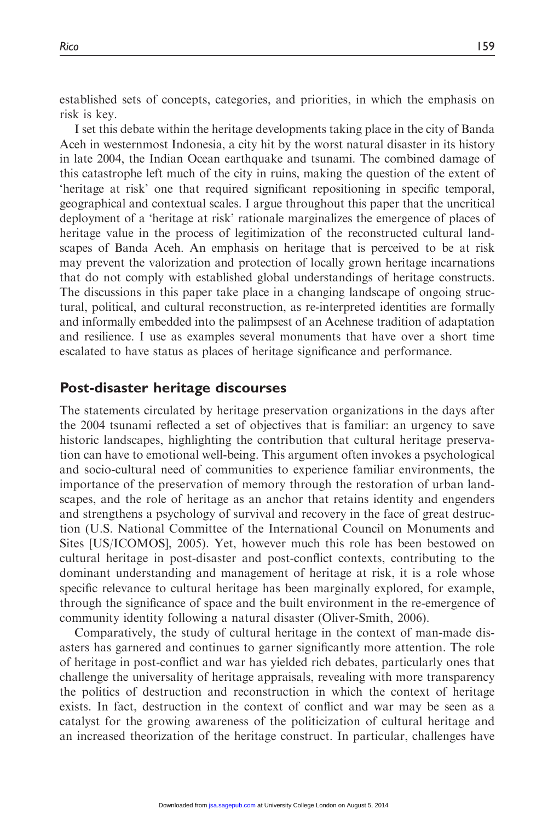established sets of concepts, categories, and priorities, in which the emphasis on risk is key.

I set this debate within the heritage developments taking place in the city of Banda Aceh in westernmost Indonesia, a city hit by the worst natural disaster in its history in late 2004, the Indian Ocean earthquake and tsunami. The combined damage of this catastrophe left much of the city in ruins, making the question of the extent of 'heritage at risk' one that required significant repositioning in specific temporal, geographical and contextual scales. I argue throughout this paper that the uncritical deployment of a 'heritage at risk' rationale marginalizes the emergence of places of heritage value in the process of legitimization of the reconstructed cultural landscapes of Banda Aceh. An emphasis on heritage that is perceived to be at risk may prevent the valorization and protection of locally grown heritage incarnations that do not comply with established global understandings of heritage constructs. The discussions in this paper take place in a changing landscape of ongoing structural, political, and cultural reconstruction, as re-interpreted identities are formally and informally embedded into the palimpsest of an Acehnese tradition of adaptation and resilience. I use as examples several monuments that have over a short time escalated to have status as places of heritage significance and performance.

## Post-disaster heritage discourses

The statements circulated by heritage preservation organizations in the days after the 2004 tsunami reflected a set of objectives that is familiar: an urgency to save historic landscapes, highlighting the contribution that cultural heritage preservation can have to emotional well-being. This argument often invokes a psychological and socio-cultural need of communities to experience familiar environments, the importance of the preservation of memory through the restoration of urban landscapes, and the role of heritage as an anchor that retains identity and engenders and strengthens a psychology of survival and recovery in the face of great destruction (U.S. National Committee of the International Council on Monuments and Sites [US/ICOMOS], 2005). Yet, however much this role has been bestowed on cultural heritage in post-disaster and post-conflict contexts, contributing to the dominant understanding and management of heritage at risk, it is a role whose specific relevance to cultural heritage has been marginally explored, for example, through the significance of space and the built environment in the re-emergence of community identity following a natural disaster (Oliver-Smith, 2006).

Comparatively, the study of cultural heritage in the context of man-made disasters has garnered and continues to garner significantly more attention. The role of heritage in post-conflict and war has yielded rich debates, particularly ones that challenge the universality of heritage appraisals, revealing with more transparency the politics of destruction and reconstruction in which the context of heritage exists. In fact, destruction in the context of conflict and war may be seen as a catalyst for the growing awareness of the politicization of cultural heritage and an increased theorization of the heritage construct. In particular, challenges have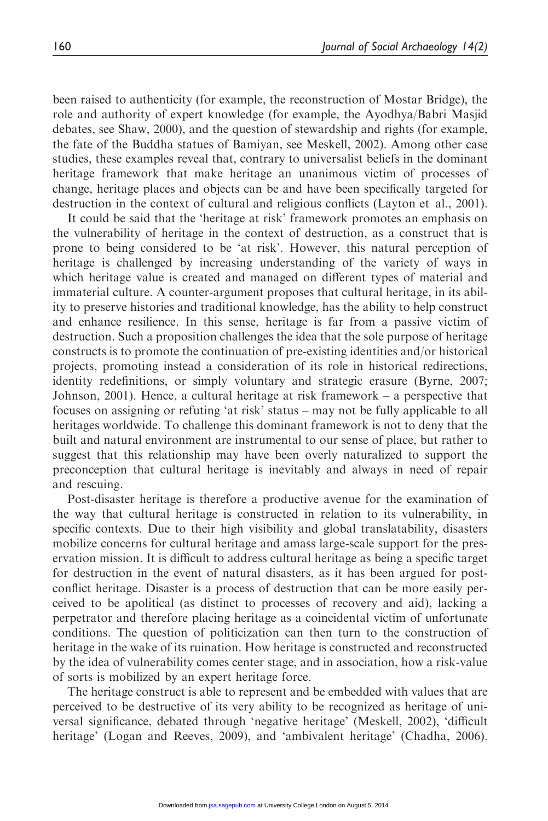been raised to authenticity (for example, the reconstruction of Mostar Bridge), the role and authority of expert knowledge (for example, the Ayodhya/Babri Masjid debates, see Shaw, 2000), and the question of stewardship and rights (for example, the fate of the Buddha statues of Bamiyan, see Meskell, 2002). Among other case studies, these examples reveal that, contrary to universalist beliefs in the dominant heritage framework that make heritage an unanimous victim of processes of change, heritage places and objects can be and have been specifically targeted for destruction in the context of cultural and religious conflicts (Layton et al., 2001).

It could be said that the 'heritage at risk' framework promotes an emphasis on the vulnerability of heritage in the context of destruction, as a construct that is prone to being considered to be 'at risk'. However, this natural perception of heritage is challenged by increasing understanding of the variety of ways in which heritage value is created and managed on different types of material and immaterial culture. A counter-argument proposes that cultural heritage, in its ability to preserve histories and traditional knowledge, has the ability to help construct and enhance resilience. In this sense, heritage is far from a passive victim of destruction. Such a proposition challenges the idea that the sole purpose of heritage constructs is to promote the continuation of pre-existing identities and/or historical projects, promoting instead a consideration of its role in historical redirections, identity redefinitions, or simply voluntary and strategic erasure (Byrne, 2007; Johnson, 2001). Hence, a cultural heritage at risk framework – a perspective that focuses on assigning or refuting 'at risk' status – may not be fully applicable to all heritages worldwide. To challenge this dominant framework is not to deny that the built and natural environment are instrumental to our sense of place, but rather to suggest that this relationship may have been overly naturalized to support the preconception that cultural heritage is inevitably and always in need of repair and rescuing.

Post-disaster heritage is therefore a productive avenue for the examination of the way that cultural heritage is constructed in relation to its vulnerability, in specific contexts. Due to their high visibility and global translatability, disasters mobilize concerns for cultural heritage and amass large-scale support for the preservation mission. It is difficult to address cultural heritage as being a specific target for destruction in the event of natural disasters, as it has been argued for postconflict heritage. Disaster is a process of destruction that can be more easily perceived to be apolitical (as distinct to processes of recovery and aid), lacking a perpetrator and therefore placing heritage as a coincidental victim of unfortunate conditions. The question of politicization can then turn to the construction of heritage in the wake of its ruination. How heritage is constructed and reconstructed by the idea of vulnerability comes center stage, and in association, how a risk-value of sorts is mobilized by an expert heritage force.

The heritage construct is able to represent and be embedded with values that are perceived to be destructive of its very ability to be recognized as heritage of universal significance, debated through 'negative heritage' (Meskell, 2002), 'difficult heritage' (Logan and Reeves, 2009), and 'ambivalent heritage' (Chadha, 2006).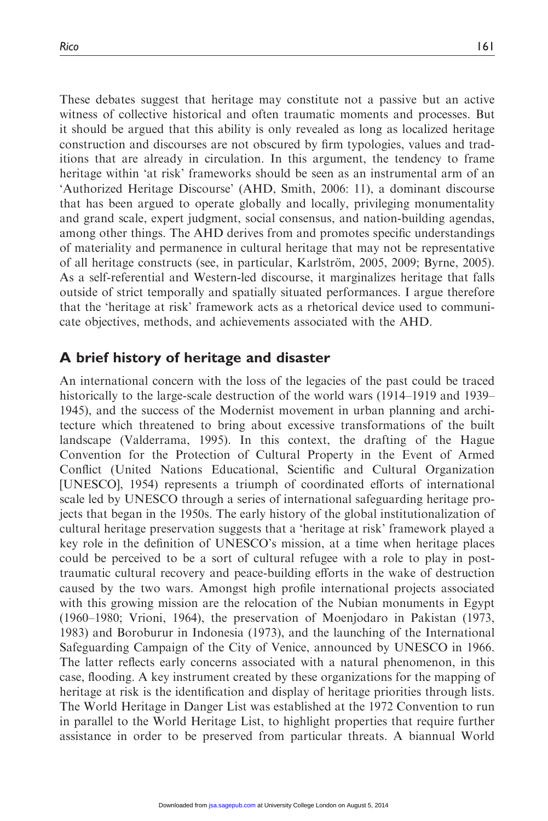These debates suggest that heritage may constitute not a passive but an active witness of collective historical and often traumatic moments and processes. But it should be argued that this ability is only revealed as long as localized heritage construction and discourses are not obscured by firm typologies, values and traditions that are already in circulation. In this argument, the tendency to frame heritage within 'at risk' frameworks should be seen as an instrumental arm of an 'Authorized Heritage Discourse' (AHD, Smith, 2006: 11), a dominant discourse that has been argued to operate globally and locally, privileging monumentality and grand scale, expert judgment, social consensus, and nation-building agendas, among other things. The AHD derives from and promotes specific understandings of materiality and permanence in cultural heritage that may not be representative of all heritage constructs (see, in particular, Karlstro¨m, 2005, 2009; Byrne, 2005). As a self-referential and Western-led discourse, it marginalizes heritage that falls outside of strict temporally and spatially situated performances. I argue therefore that the 'heritage at risk' framework acts as a rhetorical device used to communicate objectives, methods, and achievements associated with the AHD.

## A brief history of heritage and disaster

An international concern with the loss of the legacies of the past could be traced historically to the large-scale destruction of the world wars (1914–1919 and 1939– 1945), and the success of the Modernist movement in urban planning and architecture which threatened to bring about excessive transformations of the built landscape (Valderrama, 1995). In this context, the drafting of the Hague Convention for the Protection of Cultural Property in the Event of Armed Conflict (United Nations Educational, Scientific and Cultural Organization [UNESCO], 1954) represents a triumph of coordinated efforts of international scale led by UNESCO through a series of international safeguarding heritage projects that began in the 1950s. The early history of the global institutionalization of cultural heritage preservation suggests that a 'heritage at risk' framework played a key role in the definition of UNESCO's mission, at a time when heritage places could be perceived to be a sort of cultural refugee with a role to play in posttraumatic cultural recovery and peace-building efforts in the wake of destruction caused by the two wars. Amongst high profile international projects associated with this growing mission are the relocation of the Nubian monuments in Egypt (1960–1980; Vrioni, 1964), the preservation of Moenjodaro in Pakistan (1973, 1983) and Boroburur in Indonesia (1973), and the launching of the International Safeguarding Campaign of the City of Venice, announced by UNESCO in 1966. The latter reflects early concerns associated with a natural phenomenon, in this case, flooding. A key instrument created by these organizations for the mapping of heritage at risk is the identification and display of heritage priorities through lists. The World Heritage in Danger List was established at the 1972 Convention to run in parallel to the World Heritage List, to highlight properties that require further assistance in order to be preserved from particular threats. A biannual World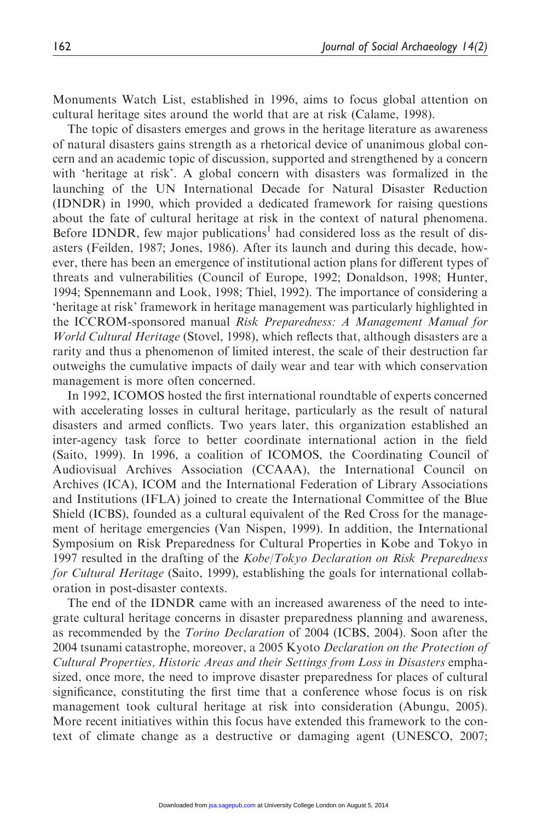Monuments Watch List, established in 1996, aims to focus global attention on cultural heritage sites around the world that are at risk (Calame, 1998).

The topic of disasters emerges and grows in the heritage literature as awareness of natural disasters gains strength as a rhetorical device of unanimous global concern and an academic topic of discussion, supported and strengthened by a concern with 'heritage at risk'. A global concern with disasters was formalized in the launching of the UN International Decade for Natural Disaster Reduction (IDNDR) in 1990, which provided a dedicated framework for raising questions about the fate of cultural heritage at risk in the context of natural phenomena. Before IDNDR, few major publications<sup>1</sup> had considered loss as the result of disasters (Feilden, 1987; Jones, 1986). After its launch and during this decade, however, there has been an emergence of institutional action plans for different types of threats and vulnerabilities (Council of Europe, 1992; Donaldson, 1998; Hunter, 1994; Spennemann and Look, 1998; Thiel, 1992). The importance of considering a 'heritage at risk' framework in heritage management was particularly highlighted in the ICCROM-sponsored manual Risk Preparedness: A Management Manual for World Cultural Heritage (Stovel, 1998), which reflects that, although disasters are a rarity and thus a phenomenon of limited interest, the scale of their destruction far outweighs the cumulative impacts of daily wear and tear with which conservation management is more often concerned.

In 1992, ICOMOS hosted the first international roundtable of experts concerned with accelerating losses in cultural heritage, particularly as the result of natural disasters and armed conflicts. Two years later, this organization established an inter-agency task force to better coordinate international action in the field (Saito, 1999). In 1996, a coalition of ICOMOS, the Coordinating Council of Audiovisual Archives Association (CCAAA), the International Council on Archives (ICA), ICOM and the International Federation of Library Associations and Institutions (IFLA) joined to create the International Committee of the Blue Shield (ICBS), founded as a cultural equivalent of the Red Cross for the management of heritage emergencies (Van Nispen, 1999). In addition, the International Symposium on Risk Preparedness for Cultural Properties in Kobe and Tokyo in 1997 resulted in the drafting of the Kobe/Tokyo Declaration on Risk Preparedness for Cultural Heritage (Saito, 1999), establishing the goals for international collaboration in post-disaster contexts.

The end of the IDNDR came with an increased awareness of the need to integrate cultural heritage concerns in disaster preparedness planning and awareness, as recommended by the Torino Declaration of 2004 (ICBS, 2004). Soon after the 2004 tsunami catastrophe, moreover, a 2005 Kyoto Declaration on the Protection of Cultural Properties, Historic Areas and their Settings from Loss in Disasters emphasized, once more, the need to improve disaster preparedness for places of cultural significance, constituting the first time that a conference whose focus is on risk management took cultural heritage at risk into consideration (Abungu, 2005). More recent initiatives within this focus have extended this framework to the context of climate change as a destructive or damaging agent (UNESCO, 2007;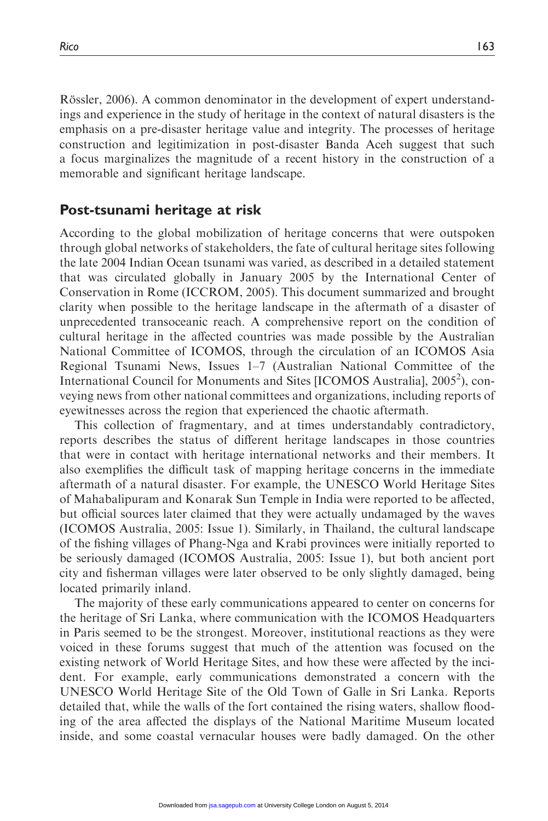Rössler, 2006). A common denominator in the development of expert understandings and experience in the study of heritage in the context of natural disasters is the emphasis on a pre-disaster heritage value and integrity. The processes of heritage construction and legitimization in post-disaster Banda Aceh suggest that such a focus marginalizes the magnitude of a recent history in the construction of a memorable and significant heritage landscape.

## Post-tsunami heritage at risk

According to the global mobilization of heritage concerns that were outspoken through global networks of stakeholders, the fate of cultural heritage sites following the late 2004 Indian Ocean tsunami was varied, as described in a detailed statement that was circulated globally in January 2005 by the International Center of Conservation in Rome (ICCROM, 2005). This document summarized and brought clarity when possible to the heritage landscape in the aftermath of a disaster of unprecedented transoceanic reach. A comprehensive report on the condition of cultural heritage in the affected countries was made possible by the Australian National Committee of ICOMOS, through the circulation of an ICOMOS Asia Regional Tsunami News, Issues 1–7 (Australian National Committee of the International Council for Monuments and Sites [ICOMOS Australia], 2005<sup>2</sup>), conveying news from other national committees and organizations, including reports of eyewitnesses across the region that experienced the chaotic aftermath.

This collection of fragmentary, and at times understandably contradictory, reports describes the status of different heritage landscapes in those countries that were in contact with heritage international networks and their members. It also exemplifies the difficult task of mapping heritage concerns in the immediate aftermath of a natural disaster. For example, the UNESCO World Heritage Sites of Mahabalipuram and Konarak Sun Temple in India were reported to be affected, but official sources later claimed that they were actually undamaged by the waves (ICOMOS Australia, 2005: Issue 1). Similarly, in Thailand, the cultural landscape of the fishing villages of Phang-Nga and Krabi provinces were initially reported to be seriously damaged (ICOMOS Australia, 2005: Issue 1), but both ancient port city and fisherman villages were later observed to be only slightly damaged, being located primarily inland.

The majority of these early communications appeared to center on concerns for the heritage of Sri Lanka, where communication with the ICOMOS Headquarters in Paris seemed to be the strongest. Moreover, institutional reactions as they were voiced in these forums suggest that much of the attention was focused on the existing network of World Heritage Sites, and how these were affected by the incident. For example, early communications demonstrated a concern with the UNESCO World Heritage Site of the Old Town of Galle in Sri Lanka. Reports detailed that, while the walls of the fort contained the rising waters, shallow flooding of the area affected the displays of the National Maritime Museum located inside, and some coastal vernacular houses were badly damaged. On the other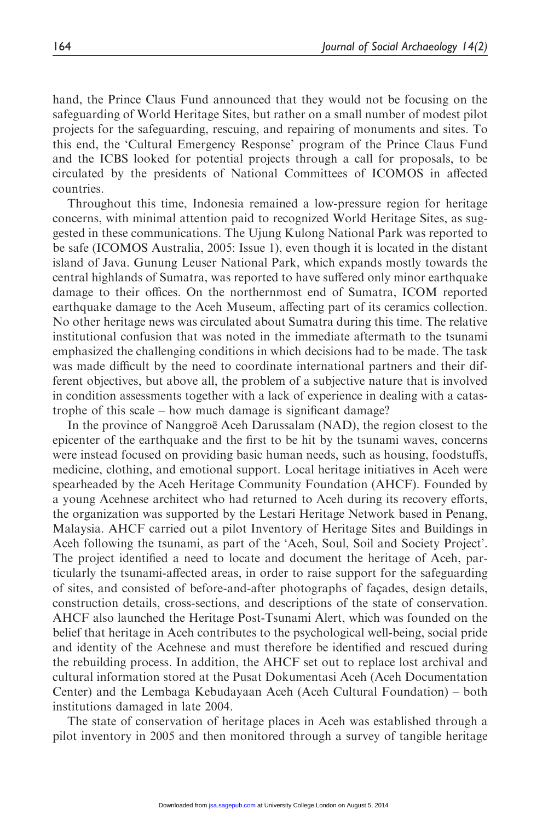hand, the Prince Claus Fund announced that they would not be focusing on the safeguarding of World Heritage Sites, but rather on a small number of modest pilot projects for the safeguarding, rescuing, and repairing of monuments and sites. To this end, the 'Cultural Emergency Response' program of the Prince Claus Fund and the ICBS looked for potential projects through a call for proposals, to be circulated by the presidents of National Committees of ICOMOS in affected countries.

Throughout this time, Indonesia remained a low-pressure region for heritage concerns, with minimal attention paid to recognized World Heritage Sites, as suggested in these communications. The Ujung Kulong National Park was reported to be safe (ICOMOS Australia, 2005: Issue 1), even though it is located in the distant island of Java. Gunung Leuser National Park, which expands mostly towards the central highlands of Sumatra, was reported to have suffered only minor earthquake damage to their offices. On the northernmost end of Sumatra, ICOM reported earthquake damage to the Aceh Museum, affecting part of its ceramics collection. No other heritage news was circulated about Sumatra during this time. The relative institutional confusion that was noted in the immediate aftermath to the tsunami emphasized the challenging conditions in which decisions had to be made. The task was made difficult by the need to coordinate international partners and their different objectives, but above all, the problem of a subjective nature that is involved in condition assessments together with a lack of experience in dealing with a catastrophe of this scale – how much damage is significant damage?

In the province of Nanggroe¨ Aceh Darussalam (NAD), the region closest to the epicenter of the earthquake and the first to be hit by the tsunami waves, concerns were instead focused on providing basic human needs, such as housing, foodstuffs, medicine, clothing, and emotional support. Local heritage initiatives in Aceh were spearheaded by the Aceh Heritage Community Foundation (AHCF). Founded by a young Acehnese architect who had returned to Aceh during its recovery efforts, the organization was supported by the Lestari Heritage Network based in Penang, Malaysia. AHCF carried out a pilot Inventory of Heritage Sites and Buildings in Aceh following the tsunami, as part of the 'Aceh, Soul, Soil and Society Project'. The project identified a need to locate and document the heritage of Aceh, particularly the tsunami-affected areas, in order to raise support for the safeguarding of sites, and consisted of before-and-after photographs of facades, design details, construction details, cross-sections, and descriptions of the state of conservation. AHCF also launched the Heritage Post-Tsunami Alert, which was founded on the belief that heritage in Aceh contributes to the psychological well-being, social pride and identity of the Acehnese and must therefore be identified and rescued during the rebuilding process. In addition, the AHCF set out to replace lost archival and cultural information stored at the Pusat Dokumentasi Aceh (Aceh Documentation Center) and the Lembaga Kebudayaan Aceh (Aceh Cultural Foundation) – both institutions damaged in late 2004.

The state of conservation of heritage places in Aceh was established through a pilot inventory in 2005 and then monitored through a survey of tangible heritage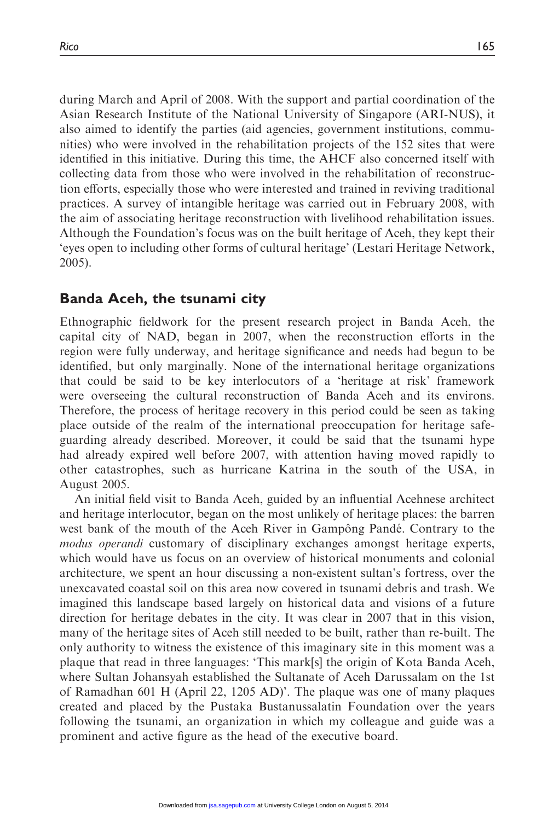during March and April of 2008. With the support and partial coordination of the Asian Research Institute of the National University of Singapore (ARI-NUS), it also aimed to identify the parties (aid agencies, government institutions, communities) who were involved in the rehabilitation projects of the 152 sites that were identified in this initiative. During this time, the AHCF also concerned itself with collecting data from those who were involved in the rehabilitation of reconstruction efforts, especially those who were interested and trained in reviving traditional practices. A survey of intangible heritage was carried out in February 2008, with the aim of associating heritage reconstruction with livelihood rehabilitation issues. Although the Foundation's focus was on the built heritage of Aceh, they kept their 'eyes open to including other forms of cultural heritage' (Lestari Heritage Network, 2005).

## Banda Aceh, the tsunami city

Ethnographic fieldwork for the present research project in Banda Aceh, the capital city of NAD, began in 2007, when the reconstruction efforts in the region were fully underway, and heritage significance and needs had begun to be identified, but only marginally. None of the international heritage organizations that could be said to be key interlocutors of a 'heritage at risk' framework were overseeing the cultural reconstruction of Banda Aceh and its environs. Therefore, the process of heritage recovery in this period could be seen as taking place outside of the realm of the international preoccupation for heritage safeguarding already described. Moreover, it could be said that the tsunami hype had already expired well before 2007, with attention having moved rapidly to other catastrophes, such as hurricane Katrina in the south of the USA, in August 2005.

An initial field visit to Banda Aceh, guided by an influential Acehnese architect and heritage interlocutor, began on the most unlikely of heritage places: the barren west bank of the mouth of the Aceh River in Gampông Pandé. Contrary to the modus operandi customary of disciplinary exchanges amongst heritage experts, which would have us focus on an overview of historical monuments and colonial architecture, we spent an hour discussing a non-existent sultan's fortress, over the unexcavated coastal soil on this area now covered in tsunami debris and trash. We imagined this landscape based largely on historical data and visions of a future direction for heritage debates in the city. It was clear in 2007 that in this vision, many of the heritage sites of Aceh still needed to be built, rather than re-built. The only authority to witness the existence of this imaginary site in this moment was a plaque that read in three languages: 'This mark[s] the origin of Kota Banda Aceh, where Sultan Johansyah established the Sultanate of Aceh Darussalam on the 1st of Ramadhan 601 H (April 22, 1205 AD)'. The plaque was one of many plaques created and placed by the Pustaka Bustanussalatin Foundation over the years following the tsunami, an organization in which my colleague and guide was a prominent and active figure as the head of the executive board.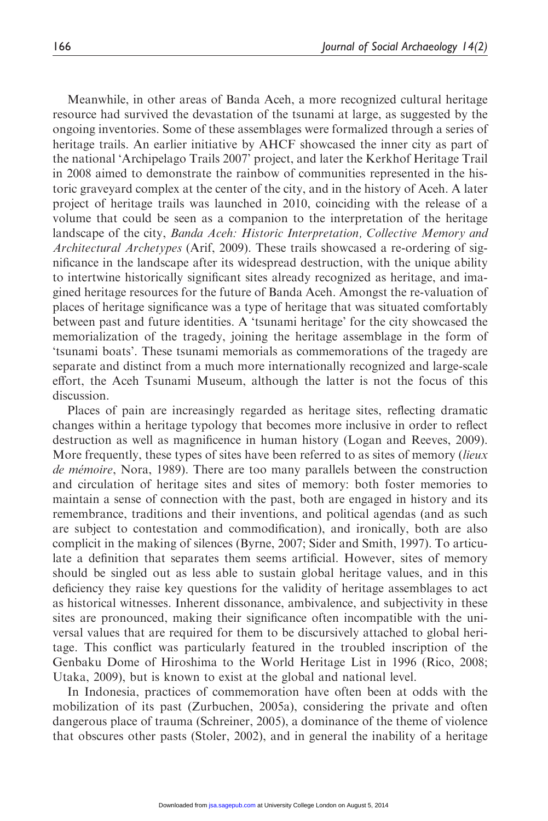Meanwhile, in other areas of Banda Aceh, a more recognized cultural heritage resource had survived the devastation of the tsunami at large, as suggested by the ongoing inventories. Some of these assemblages were formalized through a series of heritage trails. An earlier initiative by AHCF showcased the inner city as part of the national 'Archipelago Trails 2007' project, and later the Kerkhof Heritage Trail in 2008 aimed to demonstrate the rainbow of communities represented in the historic graveyard complex at the center of the city, and in the history of Aceh. A later project of heritage trails was launched in 2010, coinciding with the release of a volume that could be seen as a companion to the interpretation of the heritage landscape of the city, *Banda Aceh: Historic Interpretation, Collective Memory and* Architectural Archetypes (Arif, 2009). These trails showcased a re-ordering of significance in the landscape after its widespread destruction, with the unique ability to intertwine historically significant sites already recognized as heritage, and imagined heritage resources for the future of Banda Aceh. Amongst the re-valuation of places of heritage significance was a type of heritage that was situated comfortably between past and future identities. A 'tsunami heritage' for the city showcased the memorialization of the tragedy, joining the heritage assemblage in the form of 'tsunami boats'. These tsunami memorials as commemorations of the tragedy are separate and distinct from a much more internationally recognized and large-scale effort, the Aceh Tsunami Museum, although the latter is not the focus of this discussion.

Places of pain are increasingly regarded as heritage sites, reflecting dramatic changes within a heritage typology that becomes more inclusive in order to reflect destruction as well as magnificence in human history (Logan and Reeves, 2009). More frequently, these types of sites have been referred to as sites of memory *(lieux*) de mémoire, Nora, 1989). There are too many parallels between the construction and circulation of heritage sites and sites of memory: both foster memories to maintain a sense of connection with the past, both are engaged in history and its remembrance, traditions and their inventions, and political agendas (and as such are subject to contestation and commodification), and ironically, both are also complicit in the making of silences (Byrne, 2007; Sider and Smith, 1997). To articulate a definition that separates them seems artificial. However, sites of memory should be singled out as less able to sustain global heritage values, and in this deficiency they raise key questions for the validity of heritage assemblages to act as historical witnesses. Inherent dissonance, ambivalence, and subjectivity in these sites are pronounced, making their significance often incompatible with the universal values that are required for them to be discursively attached to global heritage. This conflict was particularly featured in the troubled inscription of the Genbaku Dome of Hiroshima to the World Heritage List in 1996 (Rico, 2008; Utaka, 2009), but is known to exist at the global and national level.

In Indonesia, practices of commemoration have often been at odds with the mobilization of its past (Zurbuchen, 2005a), considering the private and often dangerous place of trauma (Schreiner, 2005), a dominance of the theme of violence that obscures other pasts (Stoler, 2002), and in general the inability of a heritage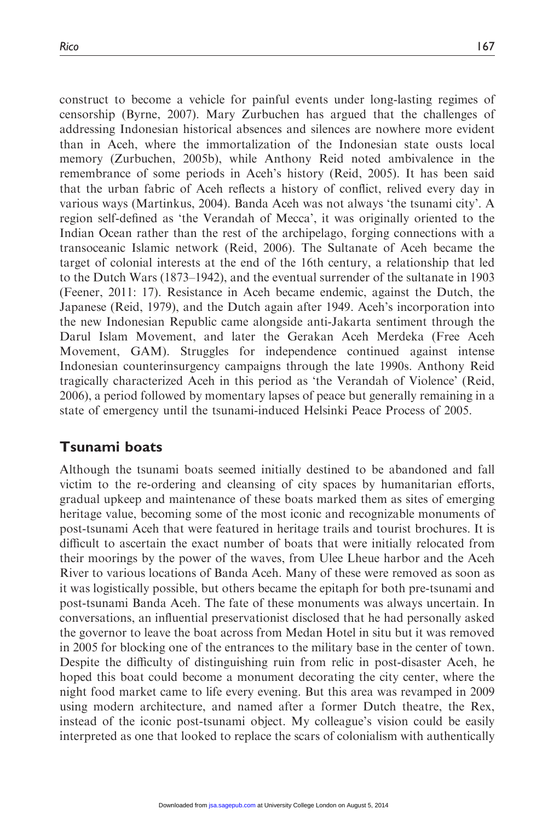construct to become a vehicle for painful events under long-lasting regimes of censorship (Byrne, 2007). Mary Zurbuchen has argued that the challenges of addressing Indonesian historical absences and silences are nowhere more evident than in Aceh, where the immortalization of the Indonesian state ousts local memory (Zurbuchen, 2005b), while Anthony Reid noted ambivalence in the remembrance of some periods in Aceh's history (Reid, 2005). It has been said that the urban fabric of Aceh reflects a history of conflict, relived every day in various ways (Martinkus, 2004). Banda Aceh was not always 'the tsunami city'. A region self-defined as 'the Verandah of Mecca', it was originally oriented to the Indian Ocean rather than the rest of the archipelago, forging connections with a transoceanic Islamic network (Reid, 2006). The Sultanate of Aceh became the target of colonial interests at the end of the 16th century, a relationship that led to the Dutch Wars (1873–1942), and the eventual surrender of the sultanate in 1903 (Feener, 2011: 17). Resistance in Aceh became endemic, against the Dutch, the Japanese (Reid, 1979), and the Dutch again after 1949. Aceh's incorporation into the new Indonesian Republic came alongside anti-Jakarta sentiment through the Darul Islam Movement, and later the Gerakan Aceh Merdeka (Free Aceh Movement, GAM). Struggles for independence continued against intense Indonesian counterinsurgency campaigns through the late 1990s. Anthony Reid tragically characterized Aceh in this period as 'the Verandah of Violence' (Reid, 2006), a period followed by momentary lapses of peace but generally remaining in a state of emergency until the tsunami-induced Helsinki Peace Process of 2005.

# Tsunami boats

Although the tsunami boats seemed initially destined to be abandoned and fall victim to the re-ordering and cleansing of city spaces by humanitarian efforts, gradual upkeep and maintenance of these boats marked them as sites of emerging heritage value, becoming some of the most iconic and recognizable monuments of post-tsunami Aceh that were featured in heritage trails and tourist brochures. It is difficult to ascertain the exact number of boats that were initially relocated from their moorings by the power of the waves, from Ulee Lheue harbor and the Aceh River to various locations of Banda Aceh. Many of these were removed as soon as it was logistically possible, but others became the epitaph for both pre-tsunami and post-tsunami Banda Aceh. The fate of these monuments was always uncertain. In conversations, an influential preservationist disclosed that he had personally asked the governor to leave the boat across from Medan Hotel in situ but it was removed in 2005 for blocking one of the entrances to the military base in the center of town. Despite the difficulty of distinguishing ruin from relic in post-disaster Aceh, he hoped this boat could become a monument decorating the city center, where the night food market came to life every evening. But this area was revamped in 2009 using modern architecture, and named after a former Dutch theatre, the Rex, instead of the iconic post-tsunami object. My colleague's vision could be easily interpreted as one that looked to replace the scars of colonialism with authentically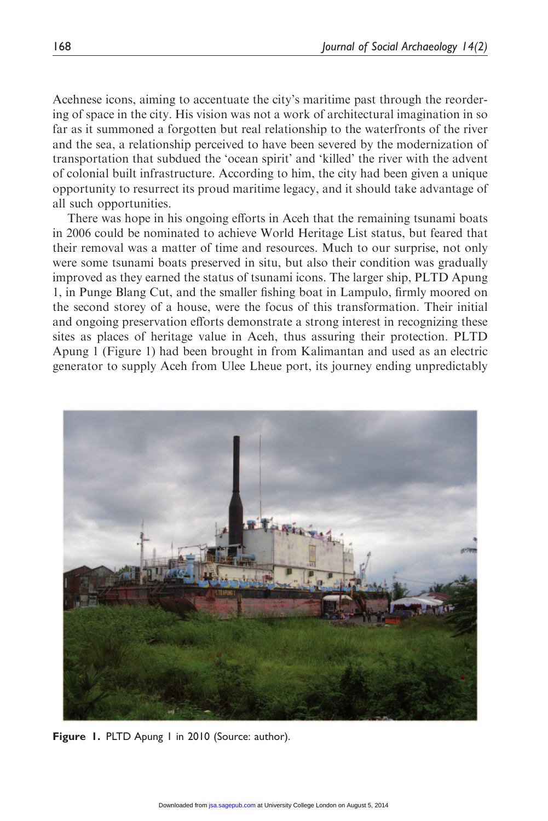Acehnese icons, aiming to accentuate the city's maritime past through the reordering of space in the city. His vision was not a work of architectural imagination in so far as it summoned a forgotten but real relationship to the waterfronts of the river and the sea, a relationship perceived to have been severed by the modernization of transportation that subdued the 'ocean spirit' and 'killed' the river with the advent of colonial built infrastructure. According to him, the city had been given a unique opportunity to resurrect its proud maritime legacy, and it should take advantage of all such opportunities.

There was hope in his ongoing efforts in Aceh that the remaining tsunami boats in 2006 could be nominated to achieve World Heritage List status, but feared that their removal was a matter of time and resources. Much to our surprise, not only were some tsunami boats preserved in situ, but also their condition was gradually improved as they earned the status of tsunami icons. The larger ship, PLTD Apung 1, in Punge Blang Cut, and the smaller fishing boat in Lampulo, firmly moored on the second storey of a house, were the focus of this transformation. Their initial and ongoing preservation efforts demonstrate a strong interest in recognizing these sites as places of heritage value in Aceh, thus assuring their protection. PLTD Apung 1 (Figure 1) had been brought in from Kalimantan and used as an electric generator to supply Aceh from Ulee Lheue port, its journey ending unpredictably



Figure 1. PLTD Apung 1 in 2010 (Source: author).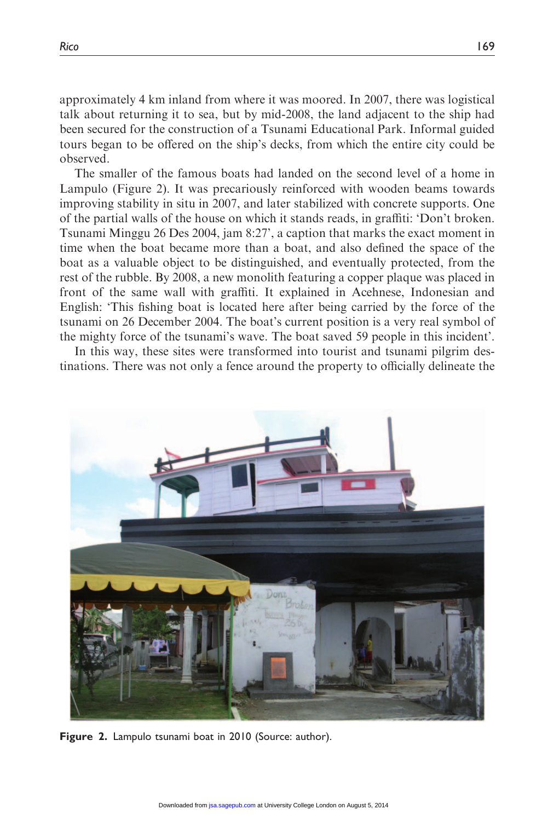approximately 4 km inland from where it was moored. In 2007, there was logistical talk about returning it to sea, but by mid-2008, the land adjacent to the ship had been secured for the construction of a Tsunami Educational Park. Informal guided tours began to be offered on the ship's decks, from which the entire city could be observed.

The smaller of the famous boats had landed on the second level of a home in Lampulo (Figure 2). It was precariously reinforced with wooden beams towards improving stability in situ in 2007, and later stabilized with concrete supports. One of the partial walls of the house on which it stands reads, in graffiti: 'Don't broken. Tsunami Minggu 26 Des 2004, jam 8:27', a caption that marks the exact moment in time when the boat became more than a boat, and also defined the space of the boat as a valuable object to be distinguished, and eventually protected, from the rest of the rubble. By 2008, a new monolith featuring a copper plaque was placed in front of the same wall with graffiti. It explained in Acehnese, Indonesian and English: 'This fishing boat is located here after being carried by the force of the tsunami on 26 December 2004. The boat's current position is a very real symbol of the mighty force of the tsunami's wave. The boat saved 59 people in this incident'.

In this way, these sites were transformed into tourist and tsunami pilgrim destinations. There was not only a fence around the property to officially delineate the



Figure 2. Lampulo tsunami boat in 2010 (Source: author).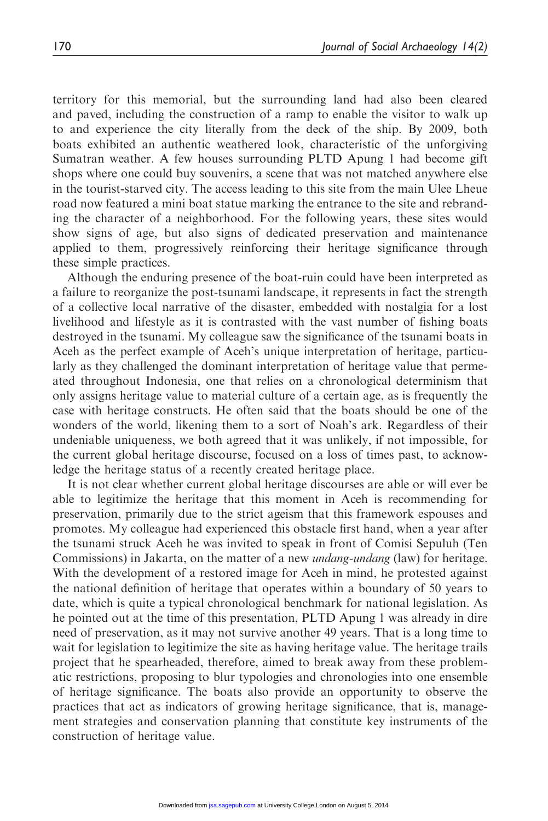territory for this memorial, but the surrounding land had also been cleared and paved, including the construction of a ramp to enable the visitor to walk up to and experience the city literally from the deck of the ship. By 2009, both boats exhibited an authentic weathered look, characteristic of the unforgiving Sumatran weather. A few houses surrounding PLTD Apung 1 had become gift shops where one could buy souvenirs, a scene that was not matched anywhere else in the tourist-starved city. The access leading to this site from the main Ulee Lheue road now featured a mini boat statue marking the entrance to the site and rebranding the character of a neighborhood. For the following years, these sites would show signs of age, but also signs of dedicated preservation and maintenance applied to them, progressively reinforcing their heritage significance through these simple practices.

Although the enduring presence of the boat-ruin could have been interpreted as a failure to reorganize the post-tsunami landscape, it represents in fact the strength of a collective local narrative of the disaster, embedded with nostalgia for a lost livelihood and lifestyle as it is contrasted with the vast number of fishing boats destroyed in the tsunami. My colleague saw the significance of the tsunami boats in Aceh as the perfect example of Aceh's unique interpretation of heritage, particularly as they challenged the dominant interpretation of heritage value that permeated throughout Indonesia, one that relies on a chronological determinism that only assigns heritage value to material culture of a certain age, as is frequently the case with heritage constructs. He often said that the boats should be one of the wonders of the world, likening them to a sort of Noah's ark. Regardless of their undeniable uniqueness, we both agreed that it was unlikely, if not impossible, for the current global heritage discourse, focused on a loss of times past, to acknowledge the heritage status of a recently created heritage place.

It is not clear whether current global heritage discourses are able or will ever be able to legitimize the heritage that this moment in Aceh is recommending for preservation, primarily due to the strict ageism that this framework espouses and promotes. My colleague had experienced this obstacle first hand, when a year after the tsunami struck Aceh he was invited to speak in front of Comisi Sepuluh (Ten Commissions) in Jakarta, on the matter of a new undang-undang (law) for heritage. With the development of a restored image for Aceh in mind, he protested against the national definition of heritage that operates within a boundary of 50 years to date, which is quite a typical chronological benchmark for national legislation. As he pointed out at the time of this presentation, PLTD Apung 1 was already in dire need of preservation, as it may not survive another 49 years. That is a long time to wait for legislation to legitimize the site as having heritage value. The heritage trails project that he spearheaded, therefore, aimed to break away from these problematic restrictions, proposing to blur typologies and chronologies into one ensemble of heritage significance. The boats also provide an opportunity to observe the practices that act as indicators of growing heritage significance, that is, management strategies and conservation planning that constitute key instruments of the construction of heritage value.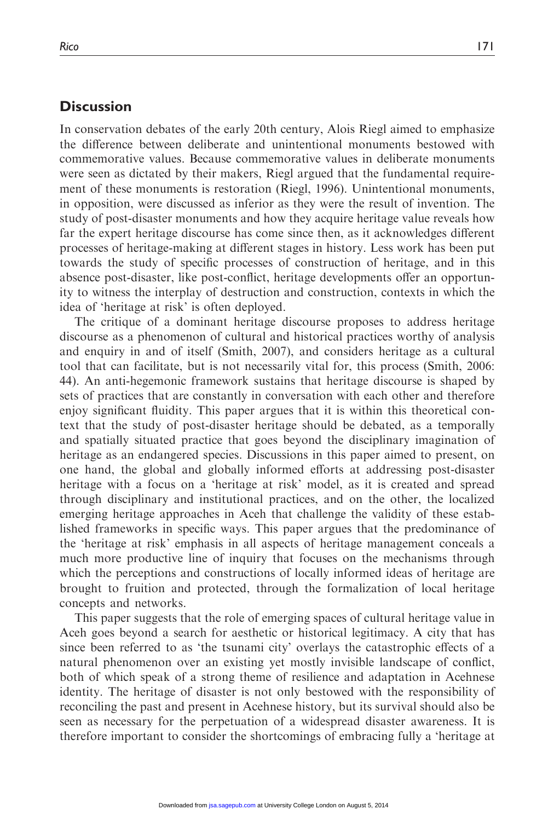## **Discussion**

In conservation debates of the early 20th century, Alois Riegl aimed to emphasize the difference between deliberate and unintentional monuments bestowed with commemorative values. Because commemorative values in deliberate monuments were seen as dictated by their makers, Riegl argued that the fundamental requirement of these monuments is restoration (Riegl, 1996). Unintentional monuments, in opposition, were discussed as inferior as they were the result of invention. The study of post-disaster monuments and how they acquire heritage value reveals how far the expert heritage discourse has come since then, as it acknowledges different processes of heritage-making at different stages in history. Less work has been put towards the study of specific processes of construction of heritage, and in this absence post-disaster, like post-conflict, heritage developments offer an opportunity to witness the interplay of destruction and construction, contexts in which the idea of 'heritage at risk' is often deployed.

The critique of a dominant heritage discourse proposes to address heritage discourse as a phenomenon of cultural and historical practices worthy of analysis and enquiry in and of itself (Smith, 2007), and considers heritage as a cultural tool that can facilitate, but is not necessarily vital for, this process (Smith, 2006: 44). An anti-hegemonic framework sustains that heritage discourse is shaped by sets of practices that are constantly in conversation with each other and therefore enjoy significant fluidity. This paper argues that it is within this theoretical context that the study of post-disaster heritage should be debated, as a temporally and spatially situated practice that goes beyond the disciplinary imagination of heritage as an endangered species. Discussions in this paper aimed to present, on one hand, the global and globally informed efforts at addressing post-disaster heritage with a focus on a 'heritage at risk' model, as it is created and spread through disciplinary and institutional practices, and on the other, the localized emerging heritage approaches in Aceh that challenge the validity of these established frameworks in specific ways. This paper argues that the predominance of the 'heritage at risk' emphasis in all aspects of heritage management conceals a much more productive line of inquiry that focuses on the mechanisms through which the perceptions and constructions of locally informed ideas of heritage are brought to fruition and protected, through the formalization of local heritage concepts and networks.

This paper suggests that the role of emerging spaces of cultural heritage value in Aceh goes beyond a search for aesthetic or historical legitimacy. A city that has since been referred to as 'the tsunami city' overlays the catastrophic effects of a natural phenomenon over an existing yet mostly invisible landscape of conflict, both of which speak of a strong theme of resilience and adaptation in Acehnese identity. The heritage of disaster is not only bestowed with the responsibility of reconciling the past and present in Acehnese history, but its survival should also be seen as necessary for the perpetuation of a widespread disaster awareness. It is therefore important to consider the shortcomings of embracing fully a 'heritage at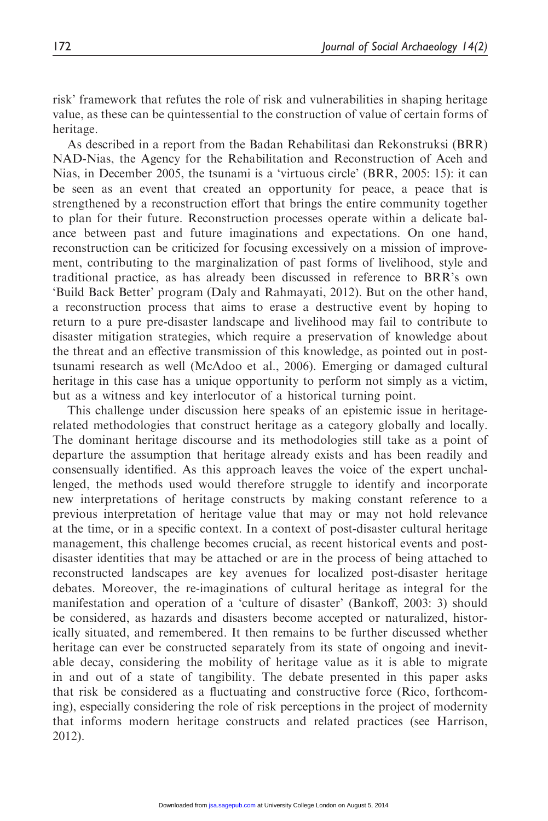risk' framework that refutes the role of risk and vulnerabilities in shaping heritage value, as these can be quintessential to the construction of value of certain forms of heritage.

As described in a report from the Badan Rehabilitasi dan Rekonstruksi (BRR) NAD-Nias, the Agency for the Rehabilitation and Reconstruction of Aceh and Nias, in December 2005, the tsunami is a 'virtuous circle' (BRR, 2005: 15): it can be seen as an event that created an opportunity for peace, a peace that is strengthened by a reconstruction effort that brings the entire community together to plan for their future. Reconstruction processes operate within a delicate balance between past and future imaginations and expectations. On one hand, reconstruction can be criticized for focusing excessively on a mission of improvement, contributing to the marginalization of past forms of livelihood, style and traditional practice, as has already been discussed in reference to BRR's own 'Build Back Better' program (Daly and Rahmayati, 2012). But on the other hand, a reconstruction process that aims to erase a destructive event by hoping to return to a pure pre-disaster landscape and livelihood may fail to contribute to disaster mitigation strategies, which require a preservation of knowledge about the threat and an effective transmission of this knowledge, as pointed out in posttsunami research as well (McAdoo et al., 2006). Emerging or damaged cultural heritage in this case has a unique opportunity to perform not simply as a victim, but as a witness and key interlocutor of a historical turning point.

This challenge under discussion here speaks of an epistemic issue in heritagerelated methodologies that construct heritage as a category globally and locally. The dominant heritage discourse and its methodologies still take as a point of departure the assumption that heritage already exists and has been readily and consensually identified. As this approach leaves the voice of the expert unchallenged, the methods used would therefore struggle to identify and incorporate new interpretations of heritage constructs by making constant reference to a previous interpretation of heritage value that may or may not hold relevance at the time, or in a specific context. In a context of post-disaster cultural heritage management, this challenge becomes crucial, as recent historical events and postdisaster identities that may be attached or are in the process of being attached to reconstructed landscapes are key avenues for localized post-disaster heritage debates. Moreover, the re-imaginations of cultural heritage as integral for the manifestation and operation of a 'culture of disaster' (Bankoff, 2003: 3) should be considered, as hazards and disasters become accepted or naturalized, historically situated, and remembered. It then remains to be further discussed whether heritage can ever be constructed separately from its state of ongoing and inevitable decay, considering the mobility of heritage value as it is able to migrate in and out of a state of tangibility. The debate presented in this paper asks that risk be considered as a fluctuating and constructive force (Rico, forthcoming), especially considering the role of risk perceptions in the project of modernity that informs modern heritage constructs and related practices (see Harrison, 2012).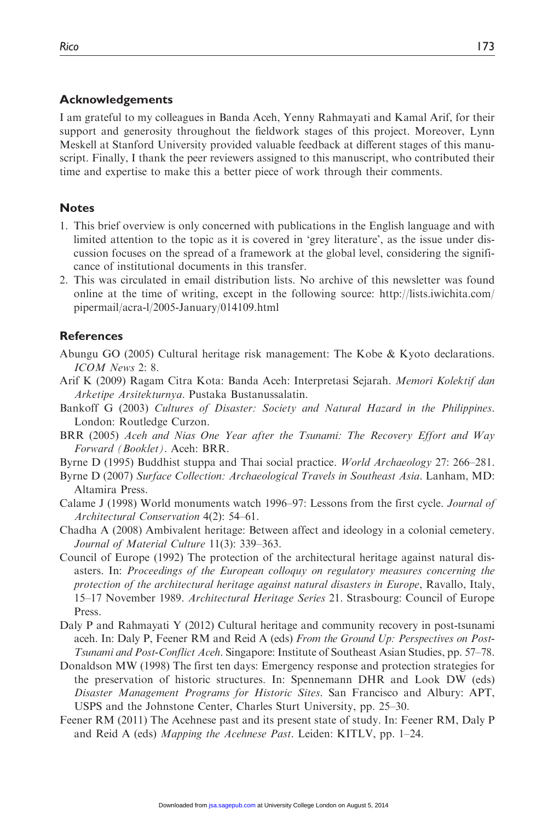#### Acknowledgements

I am grateful to my colleagues in Banda Aceh, Yenny Rahmayati and Kamal Arif, for their support and generosity throughout the fieldwork stages of this project. Moreover, Lynn Meskell at Stanford University provided valuable feedback at different stages of this manuscript. Finally, I thank the peer reviewers assigned to this manuscript, who contributed their time and expertise to make this a better piece of work through their comments.

#### **Notes**

- 1. This brief overview is only concerned with publications in the English language and with limited attention to the topic as it is covered in 'grey literature', as the issue under discussion focuses on the spread of a framework at the global level, considering the significance of institutional documents in this transfer.
- 2. This was circulated in email distribution lists. No archive of this newsletter was found online at the time of writing, except in the following source: http://lists.iwichita.com/ pipermail/acra-l/2005-January/014109.html

#### **References**

- Abungu GO (2005) Cultural heritage risk management: The Kobe & Kyoto declarations. ICOM News 2: 8.
- Arif K (2009) Ragam Citra Kota: Banda Aceh: Interpretasi Sejarah. Memori Kolektif dan Arketipe Arsitekturnya. Pustaka Bustanussalatin.
- Bankoff G (2003) Cultures of Disaster: Society and Natural Hazard in the Philippines. London: Routledge Curzon.
- BRR (2005) Aceh and Nias One Year after the Tsunami: The Recovery Effort and Way Forward (Booklet). Aceh: BRR.
- Byrne D (1995) Buddhist stuppa and Thai social practice. World Archaeology 27: 266–281.
- Byrne D (2007) Surface Collection: Archaeological Travels in Southeast Asia. Lanham, MD: Altamira Press.
- Calame J (1998) World monuments watch 1996–97: Lessons from the first cycle. Journal of Architectural Conservation 4(2): 54–61.
- Chadha A (2008) Ambivalent heritage: Between affect and ideology in a colonial cemetery. Journal of Material Culture 11(3): 339–363.
- Council of Europe (1992) The protection of the architectural heritage against natural disasters. In: Proceedings of the European colloquy on regulatory measures concerning the protection of the architectural heritage against natural disasters in Europe, Ravallo, Italy, 15–17 November 1989. Architectural Heritage Series 21. Strasbourg: Council of Europe Press.
- Daly P and Rahmayati Y (2012) Cultural heritage and community recovery in post-tsunami aceh. In: Daly P, Feener RM and Reid A (eds) From the Ground Up: Perspectives on Post-Tsunami and Post-Conflict Aceh. Singapore: Institute of Southeast Asian Studies, pp. 57–78.
- Donaldson MW (1998) The first ten days: Emergency response and protection strategies for the preservation of historic structures. In: Spennemann DHR and Look DW (eds) Disaster Management Programs for Historic Sites. San Francisco and Albury: APT, USPS and the Johnstone Center, Charles Sturt University, pp. 25–30.
- Feener RM (2011) The Acehnese past and its present state of study. In: Feener RM, Daly P and Reid A (eds) Mapping the Acehnese Past. Leiden: KITLV, pp. 1–24.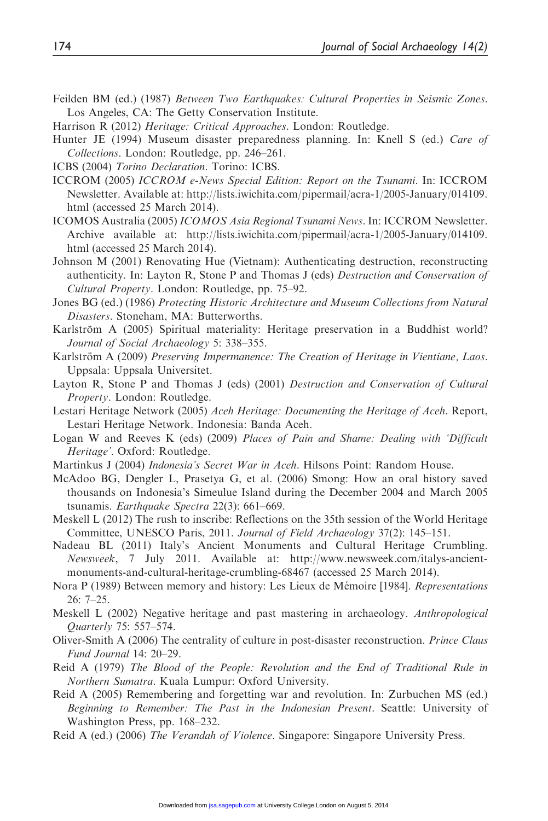- Feilden BM (ed.) (1987) Between Two Earthquakes: Cultural Properties in Seismic Zones. Los Angeles, CA: The Getty Conservation Institute.
- Harrison R (2012) Heritage: Critical Approaches. London: Routledge.
- Hunter JE (1994) Museum disaster preparedness planning. In: Knell S (ed.) Care of Collections. London: Routledge, pp. 246–261.
- ICBS (2004) Torino Declaration. Torino: ICBS.
- ICCROM (2005) ICCROM e-News Special Edition: Report on the Tsunami. In: ICCROM Newsletter. Available at: http://lists.iwichita.com/pipermail/acra-1/2005-January/014109. html (accessed 25 March 2014).
- ICOMOS Australia (2005) ICOMOS Asia Regional Tsunami News. In: ICCROM Newsletter. Archive available at: http://lists.iwichita.com/pipermail/acra-1/2005-January/014109. html (accessed 25 March 2014).
- Johnson M (2001) Renovating Hue (Vietnam): Authenticating destruction, reconstructing authenticity. In: Layton R, Stone P and Thomas J (eds) Destruction and Conservation of Cultural Property. London: Routledge, pp. 75–92.
- Jones BG (ed.) (1986) Protecting Historic Architecture and Museum Collections from Natural Disasters. Stoneham, MA: Butterworths.
- Karlström A (2005) Spiritual materiality: Heritage preservation in a Buddhist world? Journal of Social Archaeology 5: 338–355.
- Karlström A (2009) Preserving Impermanence: The Creation of Heritage in Vientiane, Laos. Uppsala: Uppsala Universitet.
- Layton R, Stone P and Thomas J (eds) (2001) Destruction and Conservation of Cultural Property. London: Routledge.
- Lestari Heritage Network (2005) Aceh Heritage: Documenting the Heritage of Aceh. Report, Lestari Heritage Network. Indonesia: Banda Aceh.
- Logan W and Reeves K (eds) (2009) Places of Pain and Shame: Dealing with 'Difficult Heritage'. Oxford: Routledge.
- Martinkus J (2004) Indonesia's Secret War in Aceh. Hilsons Point: Random House.
- McAdoo BG, Dengler L, Prasetya G, et al. (2006) Smong: How an oral history saved thousands on Indonesia's Simeulue Island during the December 2004 and March 2005 tsunamis. Earthquake Spectra 22(3): 661–669.
- Meskell L (2012) The rush to inscribe: Reflections on the 35th session of the World Heritage Committee, UNESCO Paris, 2011. Journal of Field Archaeology 37(2): 145–151.
- Nadeau BL (2011) Italy's Ancient Monuments and Cultural Heritage Crumbling. Newsweek, 7 July 2011. Available at: http://www.newsweek.com/italys-ancientmonuments-and-cultural-heritage-crumbling-68467 (accessed 25 March 2014).
- Nora P (1989) Between memory and history: Les Lieux de Mémoire [1984]. Representations 26: 7–25.
- Meskell L (2002) Negative heritage and past mastering in archaeology. Anthropological Quarterly 75: 557–574.
- Oliver-Smith A (2006) The centrality of culture in post-disaster reconstruction. Prince Claus Fund Journal 14: 20–29.
- Reid A (1979) The Blood of the People: Revolution and the End of Traditional Rule in Northern Sumatra. Kuala Lumpur: Oxford University.
- Reid A (2005) Remembering and forgetting war and revolution. In: Zurbuchen MS (ed.) Beginning to Remember: The Past in the Indonesian Present. Seattle: University of Washington Press, pp. 168–232.
- Reid A (ed.) (2006) The Verandah of Violence. Singapore: Singapore University Press.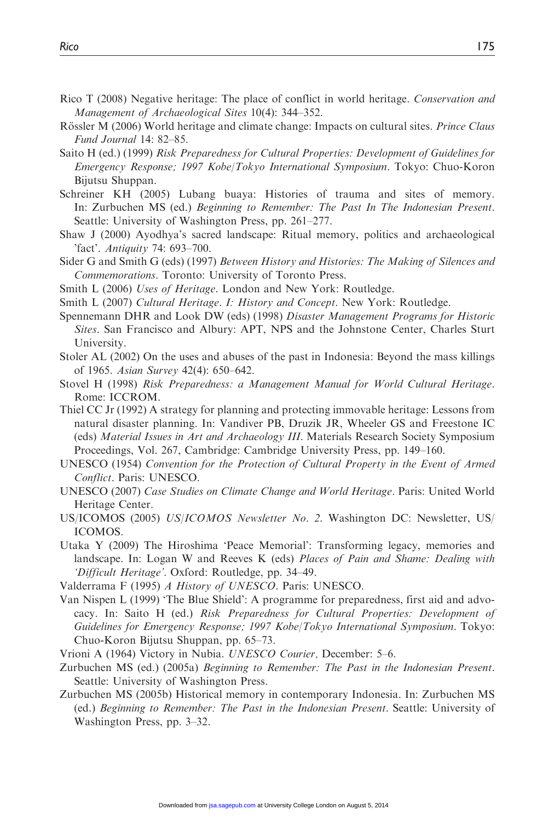- Rico T (2008) Negative heritage: The place of conflict in world heritage. Conservation and Management of Archaeological Sites 10(4): 344–352.
- Rössler M (2006) World heritage and climate change: Impacts on cultural sites. *Prince Claus* Fund Journal 14: 82–85.
- Saito H (ed.) (1999) Risk Preparedness for Cultural Properties: Development of Guidelines for Emergency Response; 1997 Kobe/Tokyo International Symposium. Tokyo: Chuo-Koron Bijutsu Shuppan.
- Schreiner KH (2005) Lubang buaya: Histories of trauma and sites of memory. In: Zurbuchen MS (ed.) Beginning to Remember: The Past In The Indonesian Present. Seattle: University of Washington Press, pp. 261–277.
- Shaw J (2000) Ayodhya's sacred landscape: Ritual memory, politics and archaeological 'fact'. Antiquity 74: 693–700.
- Sider G and Smith G (eds) (1997) Between History and Histories: The Making of Silences and Commemorations. Toronto: University of Toronto Press.
- Smith L (2006) Uses of Heritage. London and New York: Routledge.
- Smith L (2007) Cultural Heritage. I: History and Concept. New York: Routledge.
- Spennemann DHR and Look DW (eds) (1998) Disaster Management Programs for Historic Sites. San Francisco and Albury: APT, NPS and the Johnstone Center, Charles Sturt University.
- Stoler AL (2002) On the uses and abuses of the past in Indonesia: Beyond the mass killings of 1965. Asian Survey 42(4): 650–642.
- Stovel H (1998) Risk Preparedness: a Management Manual for World Cultural Heritage. Rome: ICCROM.
- Thiel CC Jr (1992) A strategy for planning and protecting immovable heritage: Lessons from natural disaster planning. In: Vandiver PB, Druzik JR, Wheeler GS and Freestone IC (eds) Material Issues in Art and Archaeology III. Materials Research Society Symposium Proceedings, Vol. 267, Cambridge: Cambridge University Press, pp. 149–160.
- UNESCO (1954) Convention for the Protection of Cultural Property in the Event of Armed Conflict. Paris: UNESCO.
- UNESCO (2007) Case Studies on Climate Change and World Heritage. Paris: United World Heritage Center.
- US/ICOMOS (2005) US/ICOMOS Newsletter No. 2. Washington DC: Newsletter, US/ ICOMOS.
- Utaka Y (2009) The Hiroshima 'Peace Memorial': Transforming legacy, memories and landscape. In: Logan W and Reeves K (eds) Places of Pain and Shame: Dealing with 'Difficult Heritage'. Oxford: Routledge, pp. 34–49.
- Valderrama F (1995) A History of UNESCO. Paris: UNESCO.
- Van Nispen L (1999) 'The Blue Shield': A programme for preparedness, first aid and advocacy. In: Saito H (ed.) Risk Preparedness for Cultural Properties: Development of Guidelines for Emergency Response; 1997 Kobe/Tokyo International Symposium. Tokyo: Chuo-Koron Bijutsu Shuppan, pp. 65–73.
- Vrioni A (1964) Victory in Nubia. UNESCO Courier, December: 5–6.
- Zurbuchen MS (ed.) (2005a) Beginning to Remember: The Past in the Indonesian Present. Seattle: University of Washington Press.
- Zurbuchen MS (2005b) Historical memory in contemporary Indonesia. In: Zurbuchen MS (ed.) Beginning to Remember: The Past in the Indonesian Present. Seattle: University of Washington Press, pp. 3–32.